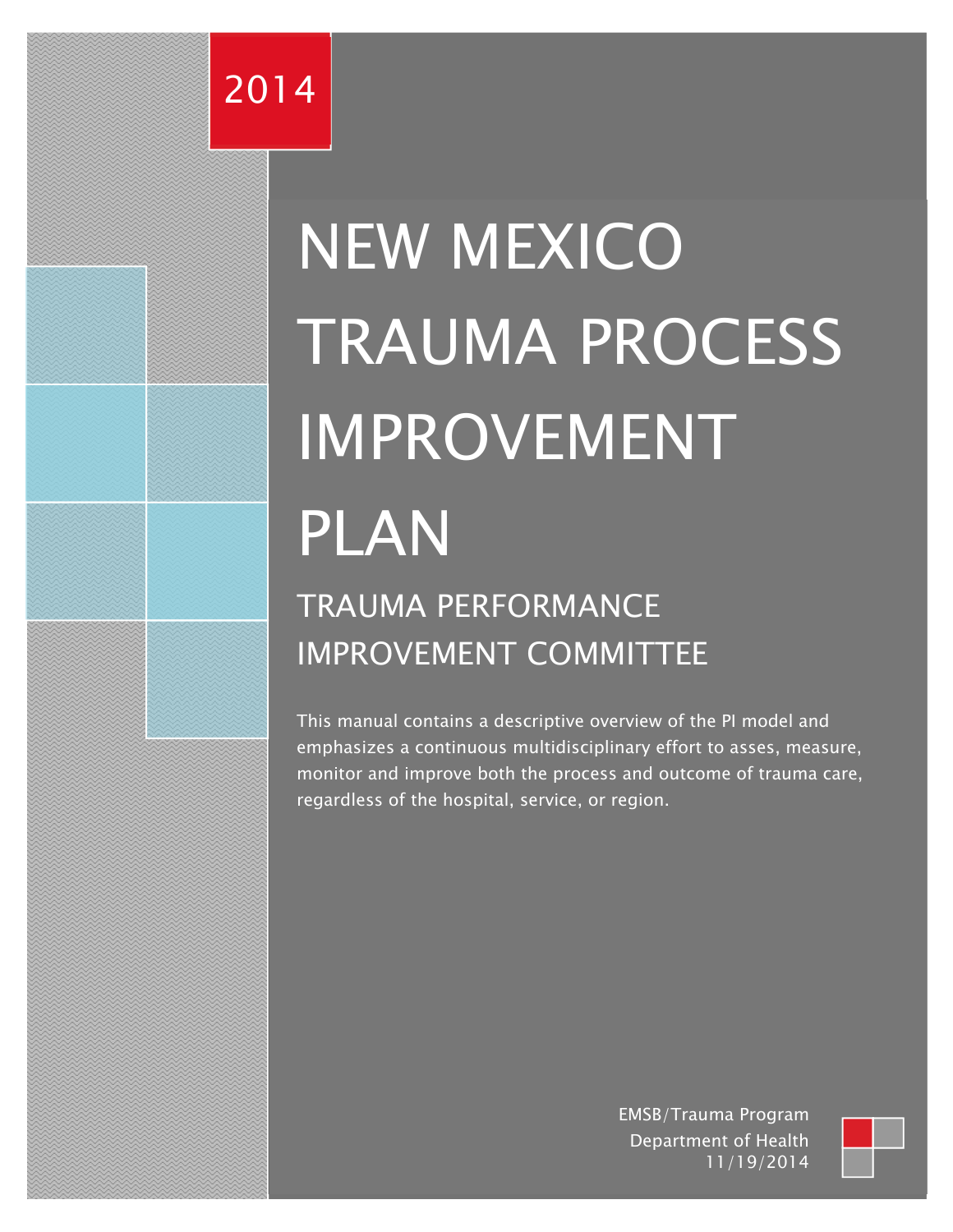## 2014

# NEW MEXICO TRAUMA PROCESS IMPROVEMENT PLAN TRAUMA PERFORMANCE

## IMPROVEMENT COMMITTEE

This manual contains a descriptive overview of the PI model and emphasizes a continuous multidisciplinary effort to asses, measure, monitor and improve both the process and outcome of trauma care, regardless of the hospital, service, or region.

> EMSB/Trauma Program Department of Health 11/19/2014

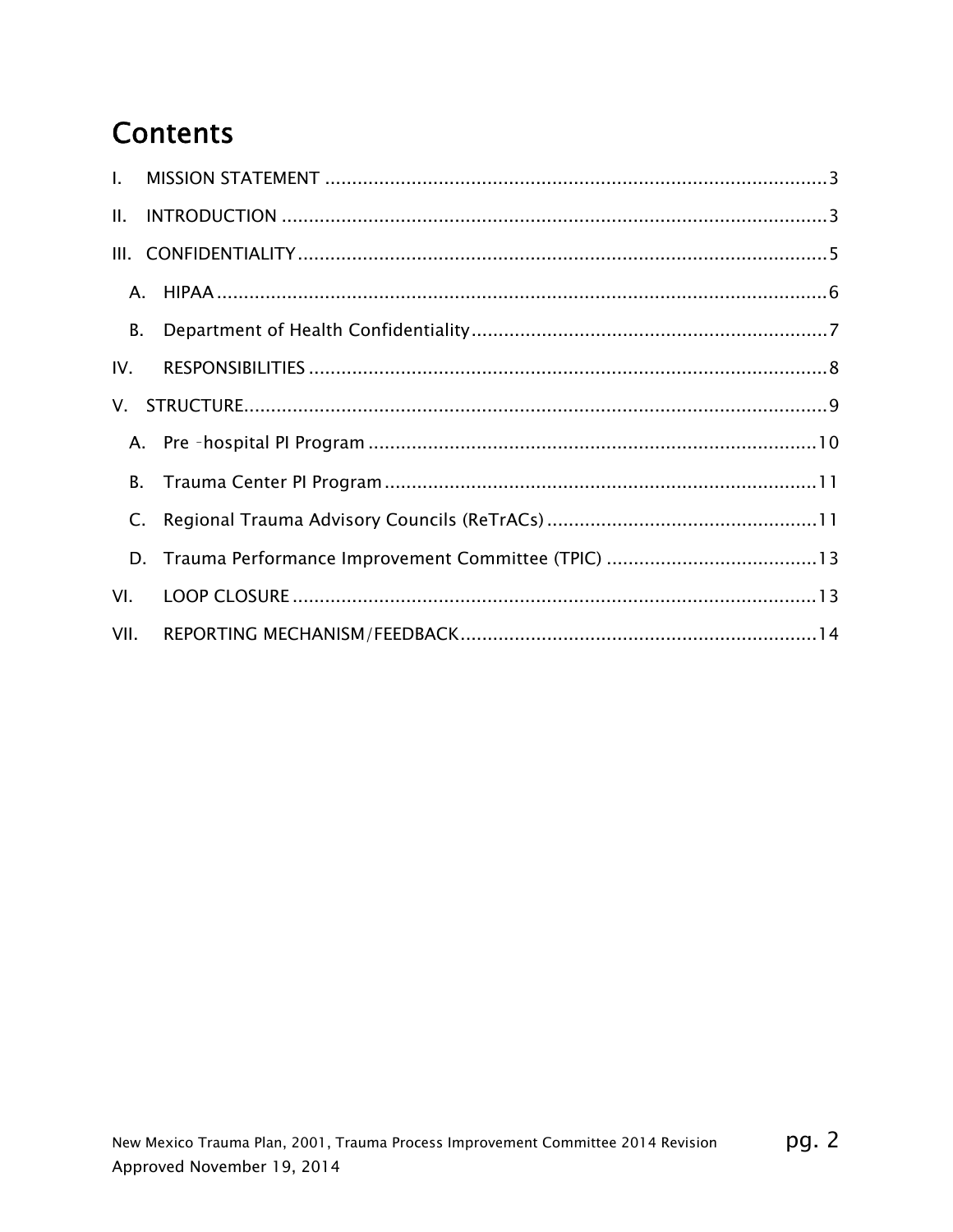## **Contents**

| $\mathbf{L}$   |    |  |
|----------------|----|--|
| Ш.             |    |  |
|                |    |  |
|                |    |  |
| <b>B.</b>      |    |  |
| IV.            |    |  |
|                |    |  |
|                |    |  |
|                | B. |  |
| $\mathsf{C}$ . |    |  |
|                |    |  |
| VI.            |    |  |
| VII.           |    |  |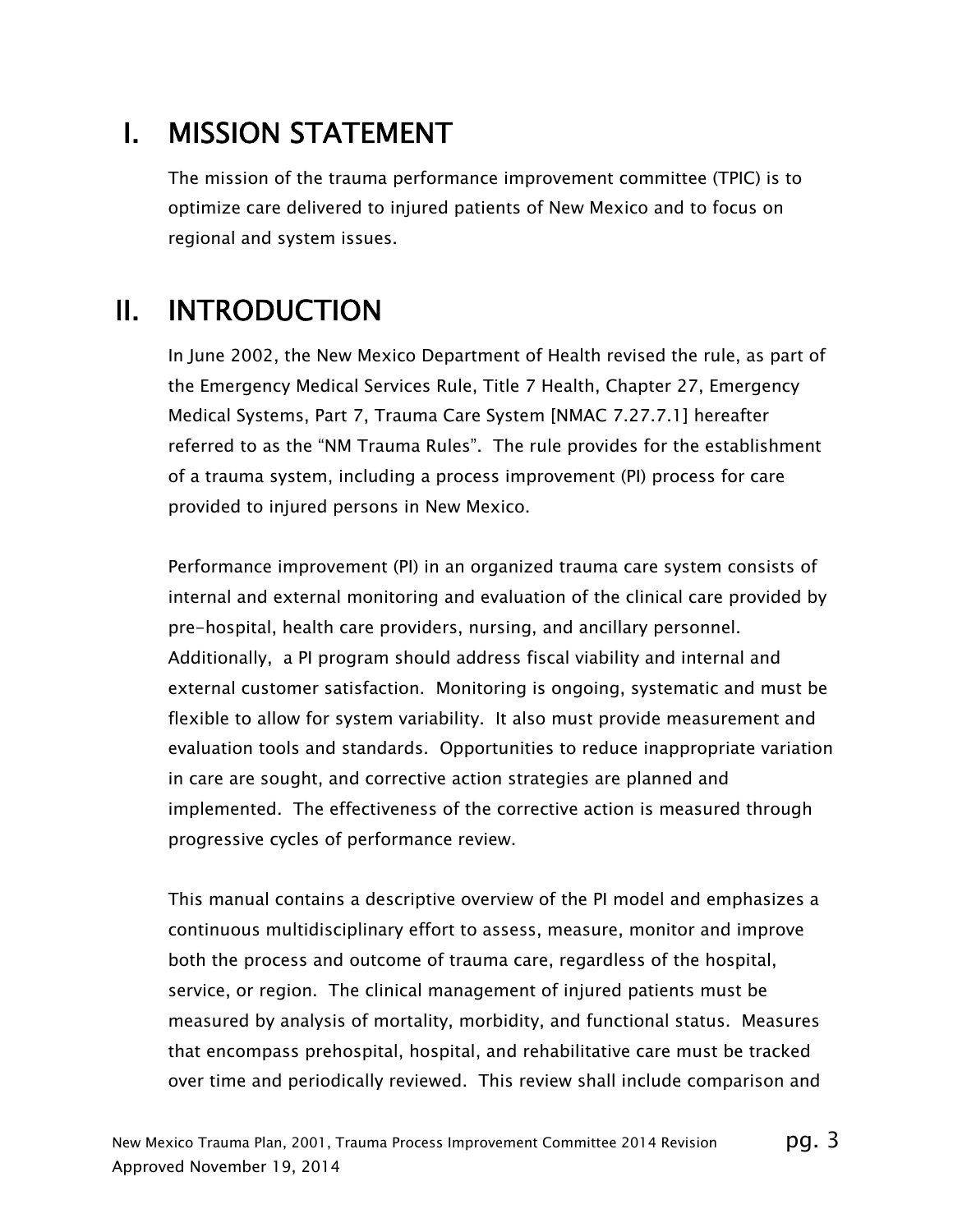## I. MISSION STATEMENT

The mission of the trauma performance improvement committee (TPIC) is to optimize care delivered to injured patients of New Mexico and to focus on regional and system issues.

## II. INTRODUCTION

In June 2002, the New Mexico Department of Health revised the rule, as part of the Emergency Medical Services Rule, Title 7 Health, Chapter 27, Emergency Medical Systems, Part 7, Trauma Care System [NMAC 7.27.7.1] hereafter referred to as the "NM Trauma Rules". The rule provides for the establishment of a trauma system, including a process improvement (PI) process for care provided to injured persons in New Mexico.

Performance improvement (PI) in an organized trauma care system consists of internal and external monitoring and evaluation of the clinical care provided by pre-hospital, health care providers, nursing, and ancillary personnel. Additionally, a PI program should address fiscal viability and internal and external customer satisfaction. Monitoring is ongoing, systematic and must be flexible to allow for system variability. It also must provide measurement and evaluation tools and standards. Opportunities to reduce inappropriate variation in care are sought, and corrective action strategies are planned and implemented. The effectiveness of the corrective action is measured through progressive cycles of performance review.

This manual contains a descriptive overview of the PI model and emphasizes a continuous multidisciplinary effort to assess, measure, monitor and improve both the process and outcome of trauma care, regardless of the hospital, service, or region. The clinical management of injured patients must be measured by analysis of mortality, morbidity, and functional status. Measures that encompass prehospital, hospital, and rehabilitative care must be tracked over time and periodically reviewed. This review shall include comparison and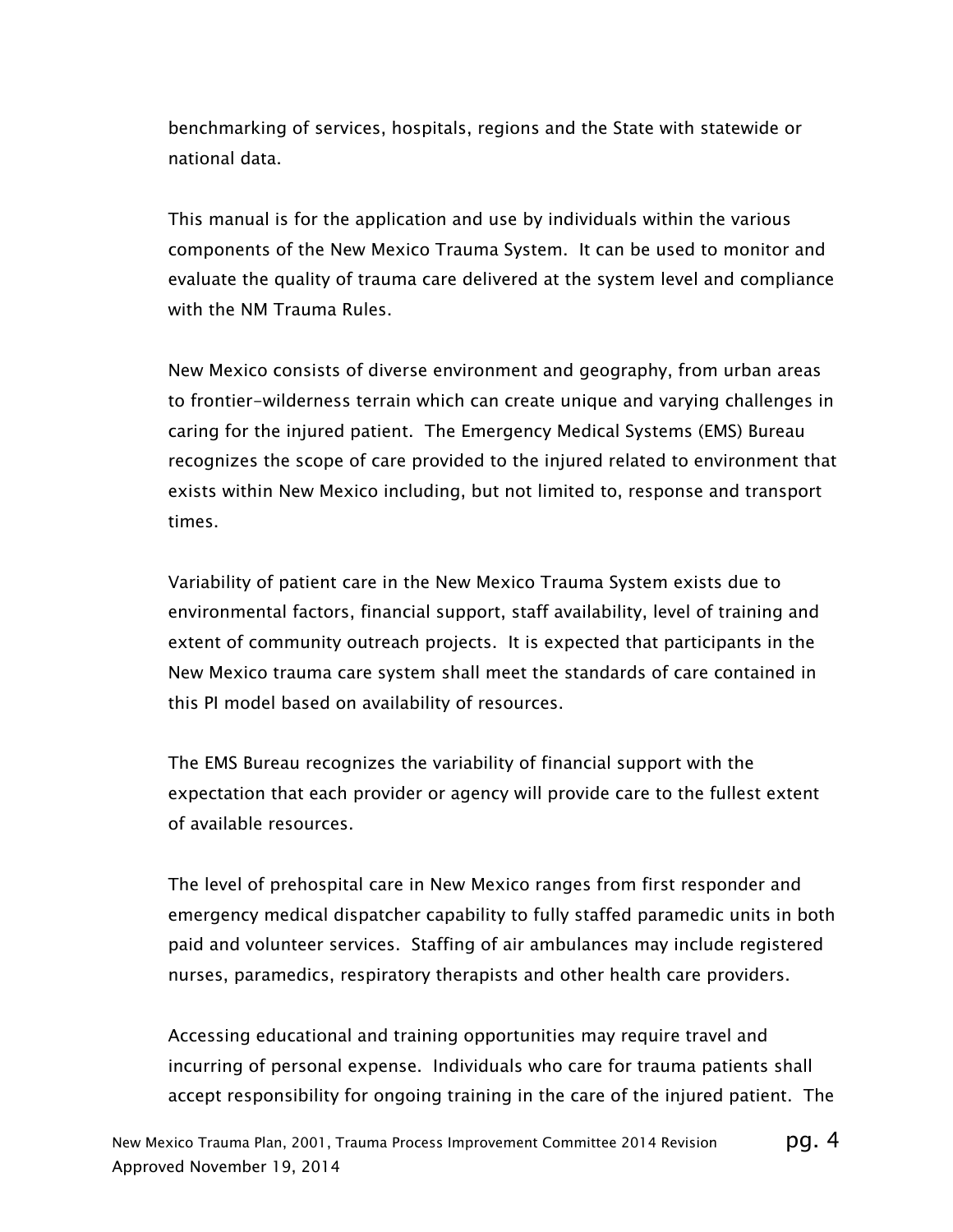benchmarking of services, hospitals, regions and the State with statewide or national data.

This manual is for the application and use by individuals within the various components of the New Mexico Trauma System. It can be used to monitor and evaluate the quality of trauma care delivered at the system level and compliance with the NM Trauma Rules.

New Mexico consists of diverse environment and geography, from urban areas to frontier-wilderness terrain which can create unique and varying challenges in caring for the injured patient. The Emergency Medical Systems (EMS) Bureau recognizes the scope of care provided to the injured related to environment that exists within New Mexico including, but not limited to, response and transport times.

Variability of patient care in the New Mexico Trauma System exists due to environmental factors, financial support, staff availability, level of training and extent of community outreach projects. It is expected that participants in the New Mexico trauma care system shall meet the standards of care contained in this PI model based on availability of resources.

The EMS Bureau recognizes the variability of financial support with the expectation that each provider or agency will provide care to the fullest extent of available resources.

The level of prehospital care in New Mexico ranges from first responder and emergency medical dispatcher capability to fully staffed paramedic units in both paid and volunteer services. Staffing of air ambulances may include registered nurses, paramedics, respiratory therapists and other health care providers.

Accessing educational and training opportunities may require travel and incurring of personal expense. Individuals who care for trauma patients shall accept responsibility for ongoing training in the care of the injured patient. The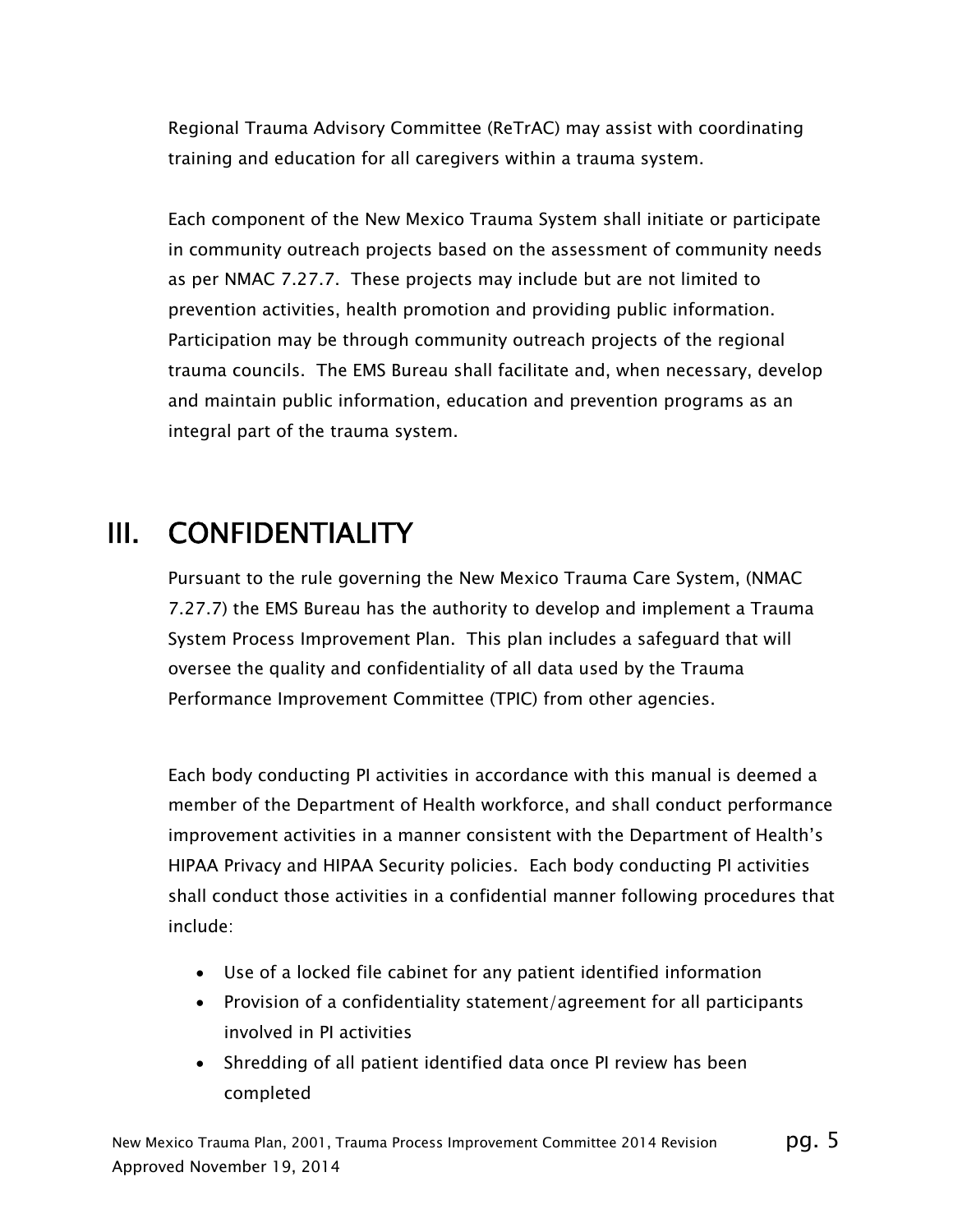Regional Trauma Advisory Committee (ReTrAC) may assist with coordinating training and education for all caregivers within a trauma system.

Each component of the New Mexico Trauma System shall initiate or participate in community outreach projects based on the assessment of community needs as per NMAC 7.27.7. These projects may include but are not limited to prevention activities, health promotion and providing public information. Participation may be through community outreach projects of the regional trauma councils. The EMS Bureau shall facilitate and, when necessary, develop and maintain public information, education and prevention programs as an integral part of the trauma system.

## III. CONFIDENTIALITY

Pursuant to the rule governing the New Mexico Trauma Care System, (NMAC 7.27.7) the EMS Bureau has the authority to develop and implement a Trauma System Process Improvement Plan. This plan includes a safeguard that will oversee the quality and confidentiality of all data used by the Trauma Performance Improvement Committee (TPIC) from other agencies.

Each body conducting PI activities in accordance with this manual is deemed a member of the Department of Health workforce, and shall conduct performance improvement activities in a manner consistent with the Department of Health's HIPAA Privacy and HIPAA Security policies. Each body conducting PI activities shall conduct those activities in a confidential manner following procedures that include:

- Use of a locked file cabinet for any patient identified information
- Provision of a confidentiality statement/agreement for all participants involved in PI activities
- Shredding of all patient identified data once PI review has been completed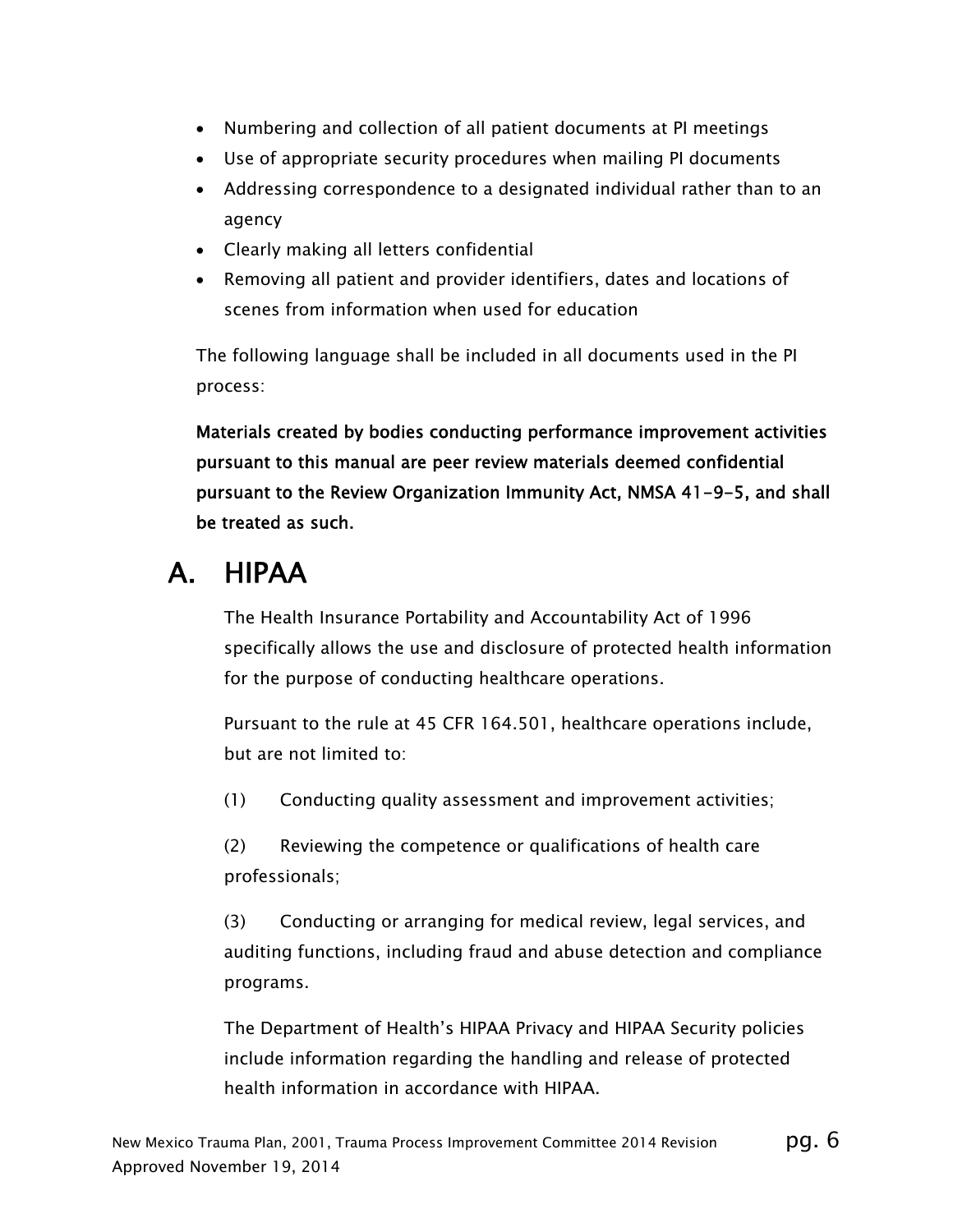- Numbering and collection of all patient documents at PI meetings
- Use of appropriate security procedures when mailing PI documents
- Addressing correspondence to a designated individual rather than to an agency
- Clearly making all letters confidential
- Removing all patient and provider identifiers, dates and locations of scenes from information when used for education

The following language shall be included in all documents used in the PI process:

Materials created by bodies conducting performance improvement activities pursuant to this manual are peer review materials deemed confidential pursuant to the Review Organization Immunity Act, NMSA 41-9-5, and shall be treated as such.

## A. HIPAA

The Health Insurance Portability and Accountability Act of 1996 specifically allows the use and disclosure of protected health information for the purpose of conducting healthcare operations.

Pursuant to the rule at 45 CFR 164.501, healthcare operations include, but are not limited to:

(1) Conducting quality assessment and improvement activities;

(2) Reviewing the competence or qualifications of health care professionals;

(3) Conducting or arranging for medical review, legal services, and auditing functions, including fraud and abuse detection and compliance programs.

The Department of Health's HIPAA Privacy and HIPAA Security policies include information regarding the handling and release of protected health information in accordance with HIPAA.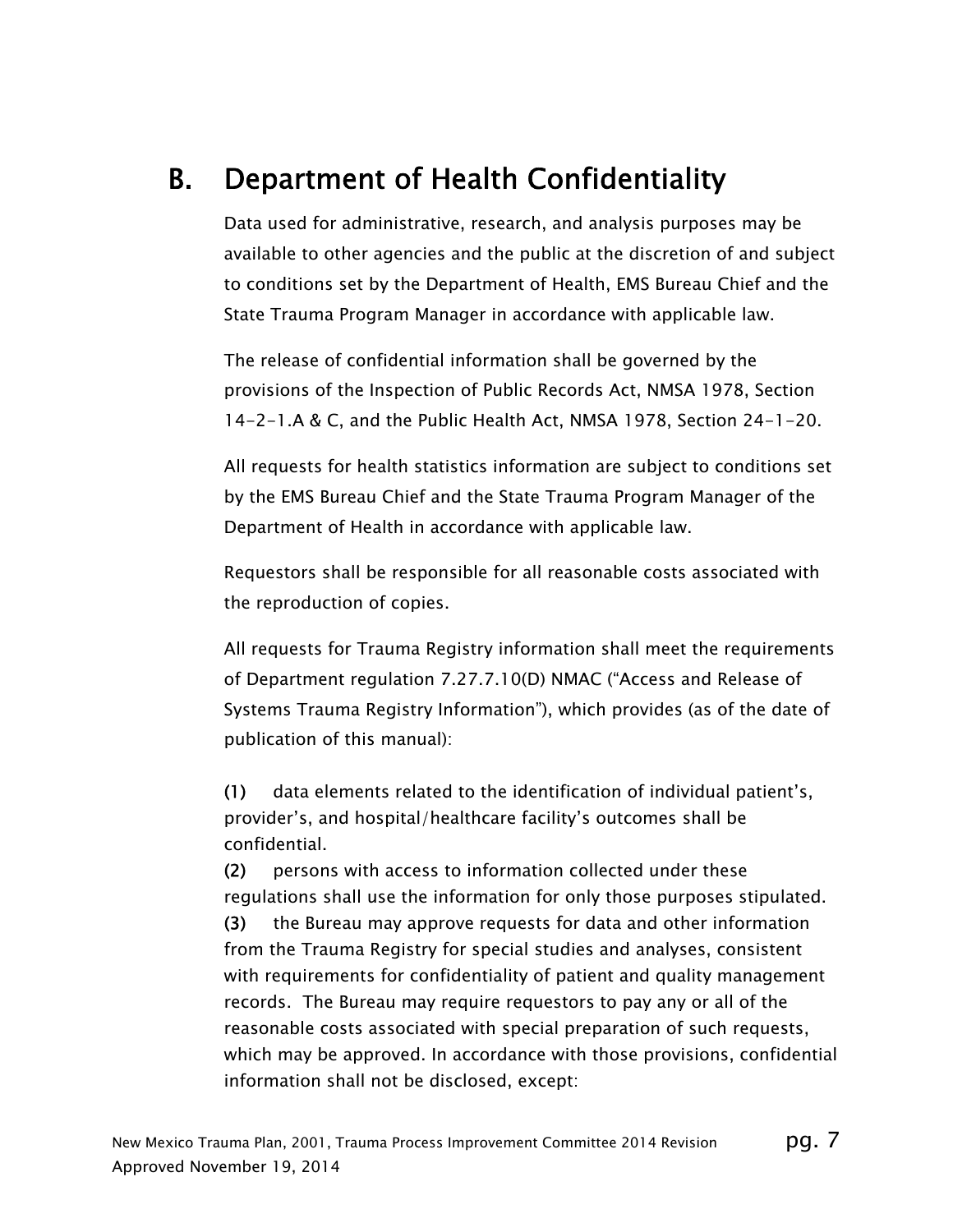## B. Department of Health Confidentiality

Data used for administrative, research, and analysis purposes may be available to other agencies and the public at the discretion of and subject to conditions set by the Department of Health, EMS Bureau Chief and the State Trauma Program Manager in accordance with applicable law.

The release of confidential information shall be governed by the provisions of the Inspection of Public Records Act, NMSA 1978, Section 14-2-1.A & C, and the Public Health Act, NMSA 1978, Section 24-1-20.

All requests for health statistics information are subject to conditions set by the EMS Bureau Chief and the State Trauma Program Manager of the Department of Health in accordance with applicable law.

Requestors shall be responsible for all reasonable costs associated with the reproduction of copies.

All requests for Trauma Registry information shall meet the requirements of Department regulation 7.27.7.10(D) NMAC ("Access and Release of Systems Trauma Registry Information"), which provides (as of the date of publication of this manual):

(1) data elements related to the identification of individual patient's, provider's, and hospital/healthcare facility's outcomes shall be confidential.

(2) persons with access to information collected under these regulations shall use the information for only those purposes stipulated. (3) the Bureau may approve requests for data and other information from the Trauma Registry for special studies and analyses, consistent with requirements for confidentiality of patient and quality management records. The Bureau may require requestors to pay any or all of the reasonable costs associated with special preparation of such requests, which may be approved. In accordance with those provisions, confidential information shall not be disclosed, except: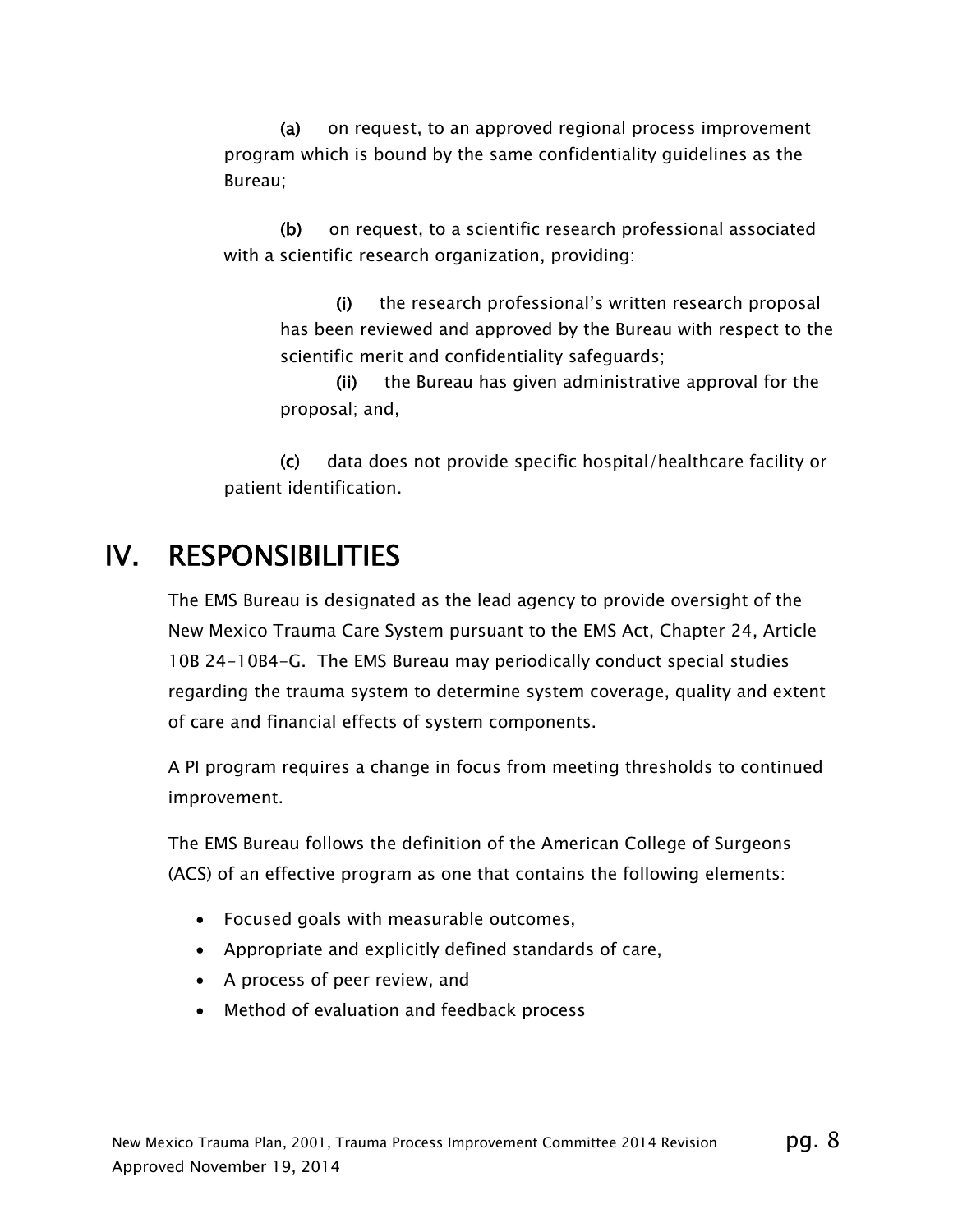(a) on request, to an approved regional process improvement program which is bound by the same confidentiality guidelines as the Bureau;

(b) on request, to a scientific research professional associated with a scientific research organization, providing:

(i) the research professional's written research proposal has been reviewed and approved by the Bureau with respect to the scientific merit and confidentiality safeguards;

(ii) the Bureau has given administrative approval for the proposal; and,

(c) data does not provide specific hospital/healthcare facility or patient identification.

### IV. RESPONSIBILITIES

The EMS Bureau is designated as the lead agency to provide oversight of the New Mexico Trauma Care System pursuant to the EMS Act, Chapter 24, Article 10B 24-10B4-G. The EMS Bureau may periodically conduct special studies regarding the trauma system to determine system coverage, quality and extent of care and financial effects of system components.

A PI program requires a change in focus from meeting thresholds to continued improvement.

The EMS Bureau follows the definition of the American College of Surgeons (ACS) of an effective program as one that contains the following elements:

- Focused goals with measurable outcomes,
- Appropriate and explicitly defined standards of care,
- A process of peer review, and
- Method of evaluation and feedback process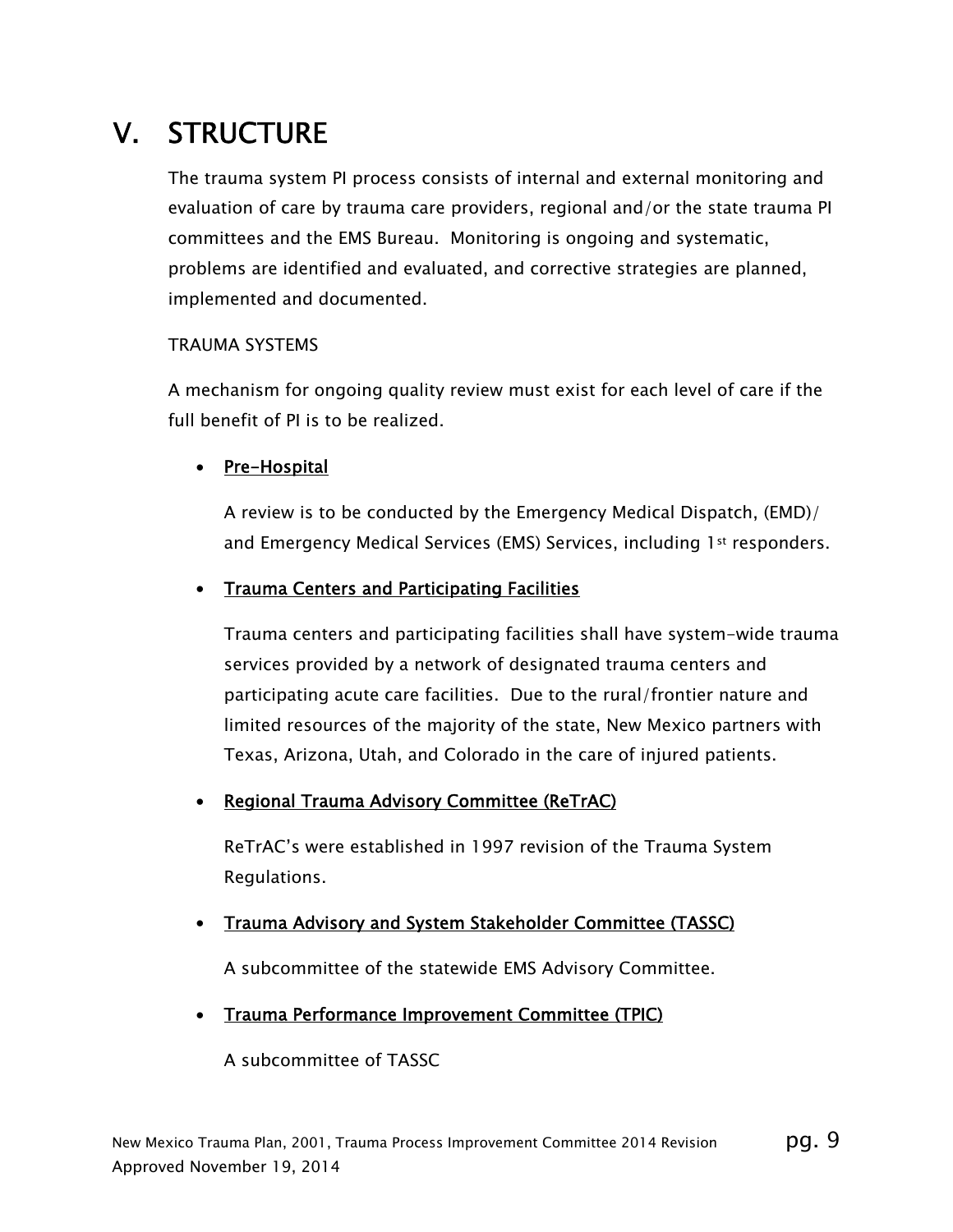## V. STRUCTURE

The trauma system PI process consists of internal and external monitoring and evaluation of care by trauma care providers, regional and/or the state trauma PI committees and the EMS Bureau. Monitoring is ongoing and systematic, problems are identified and evaluated, and corrective strategies are planned, implemented and documented.

#### TRAUMA SYSTEMS

A mechanism for ongoing quality review must exist for each level of care if the full benefit of PI is to be realized.

#### • Pre-Hospital

A review is to be conducted by the Emergency Medical Dispatch, (EMD)/ and Emergency Medical Services (EMS) Services, including 1st responders.

#### • Trauma Centers and Participating Facilities

Trauma centers and participating facilities shall have system-wide trauma services provided by a network of designated trauma centers and participating acute care facilities. Due to the rural/frontier nature and limited resources of the majority of the state, New Mexico partners with Texas, Arizona, Utah, and Colorado in the care of injured patients.

#### Regional Trauma Advisory Committee (ReTrAC)

ReTrAC's were established in 1997 revision of the Trauma System Regulations.

#### • Trauma Advisory and System Stakeholder Committee (TASSC)

A subcommittee of the statewide EMS Advisory Committee.

#### Trauma Performance Improvement Committee (TPIC)

A subcommittee of TASSC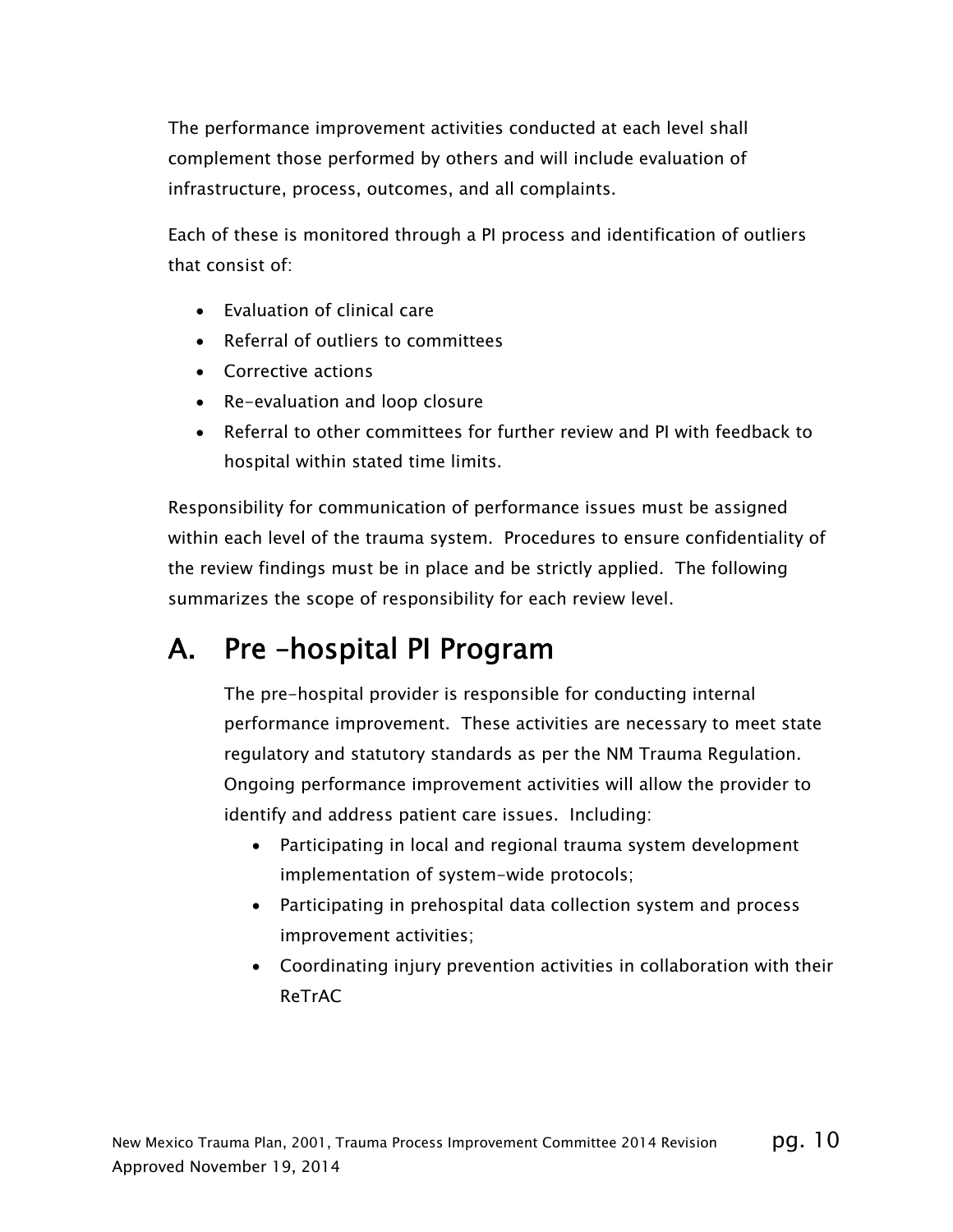The performance improvement activities conducted at each level shall complement those performed by others and will include evaluation of infrastructure, process, outcomes, and all complaints.

Each of these is monitored through a PI process and identification of outliers that consist of:

- Evaluation of clinical care
- Referral of outliers to committees
- Corrective actions
- Re-evaluation and loop closure
- Referral to other committees for further review and PI with feedback to hospital within stated time limits.

Responsibility for communication of performance issues must be assigned within each level of the trauma system. Procedures to ensure confidentiality of the review findings must be in place and be strictly applied. The following summarizes the scope of responsibility for each review level.

## A. Pre –hospital PI Program

The pre-hospital provider is responsible for conducting internal performance improvement. These activities are necessary to meet state regulatory and statutory standards as per the NM Trauma Regulation. Ongoing performance improvement activities will allow the provider to identify and address patient care issues. Including:

- Participating in local and regional trauma system development implementation of system-wide protocols;
- Participating in prehospital data collection system and process improvement activities;
- Coordinating injury prevention activities in collaboration with their ReTrAC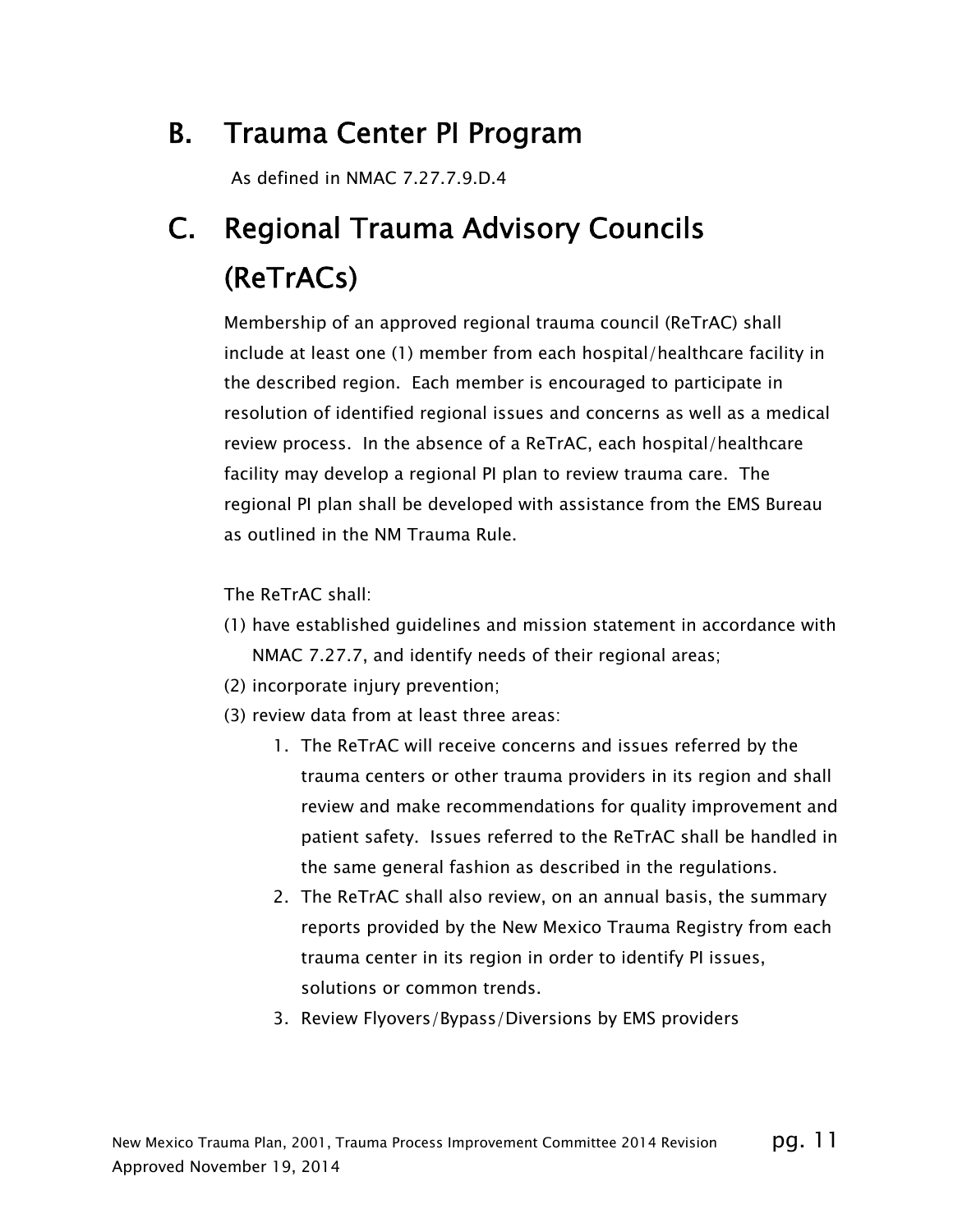## B. Trauma Center PI Program

As defined in NMAC 7.27.7.9.D.4

## C. Regional Trauma Advisory Councils (ReTrACs)

Membership of an approved regional trauma council (ReTrAC) shall include at least one (1) member from each hospital/healthcare facility in the described region. Each member is encouraged to participate in resolution of identified regional issues and concerns as well as a medical review process. In the absence of a ReTrAC, each hospital/healthcare facility may develop a regional PI plan to review trauma care. The regional PI plan shall be developed with assistance from the EMS Bureau as outlined in the NM Trauma Rule.

The ReTrAC shall:

- (1) have established guidelines and mission statement in accordance with NMAC 7.27.7, and identify needs of their regional areas;
- (2) incorporate injury prevention;
- (3) review data from at least three areas:
	- 1. The ReTrAC will receive concerns and issues referred by the trauma centers or other trauma providers in its region and shall review and make recommendations for quality improvement and patient safety. Issues referred to the ReTrAC shall be handled in the same general fashion as described in the regulations.
	- 2. The ReTrAC shall also review, on an annual basis, the summary reports provided by the New Mexico Trauma Registry from each trauma center in its region in order to identify PI issues, solutions or common trends.
	- 3. Review Flyovers/Bypass/Diversions by EMS providers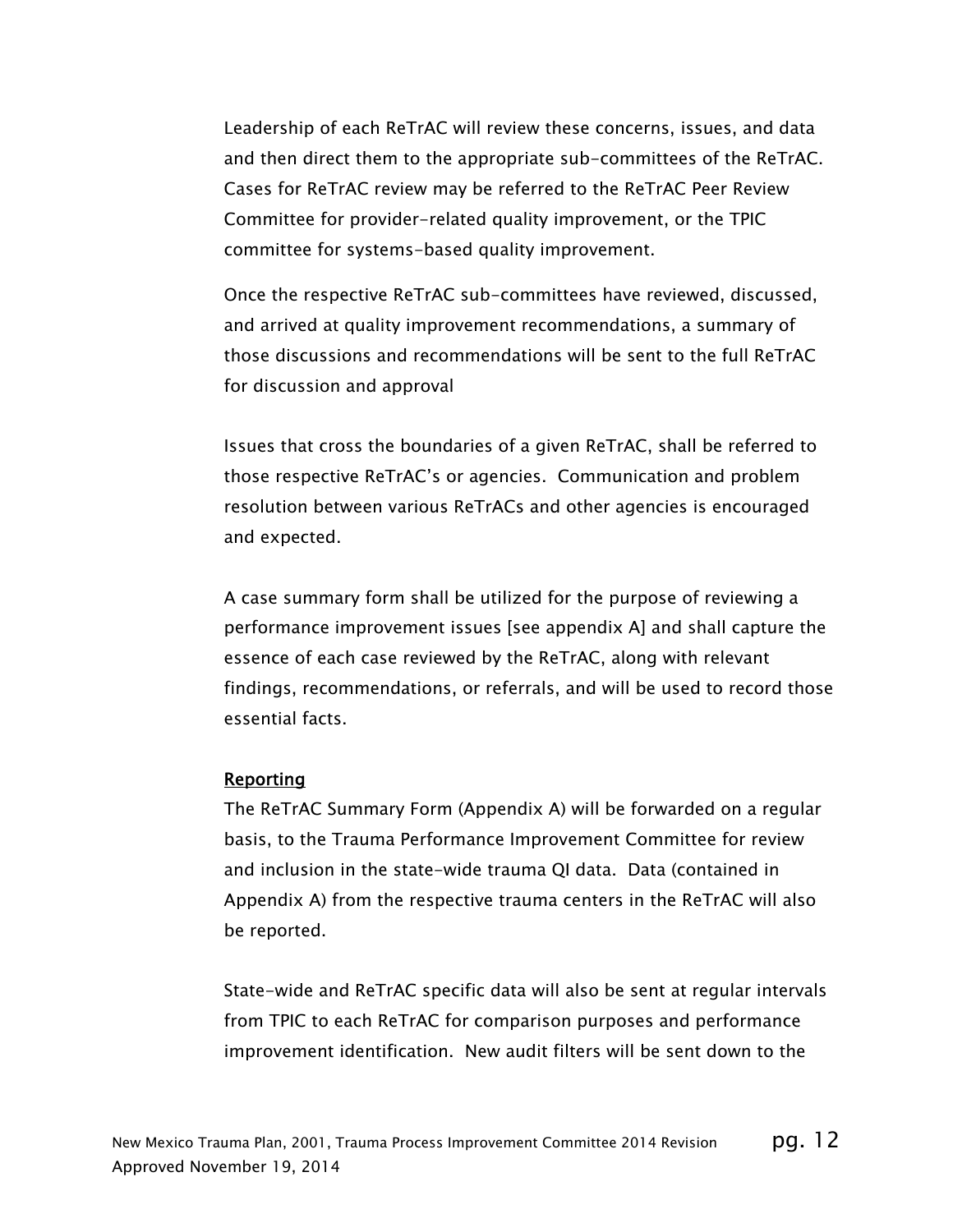Leadership of each ReTrAC will review these concerns, issues, and data and then direct them to the appropriate sub-committees of the ReTrAC. Cases for ReTrAC review may be referred to the ReTrAC Peer Review Committee for provider-related quality improvement, or the TPIC committee for systems-based quality improvement.

Once the respective ReTrAC sub-committees have reviewed, discussed, and arrived at quality improvement recommendations, a summary of those discussions and recommendations will be sent to the full ReTrAC for discussion and approval

Issues that cross the boundaries of a given ReTrAC, shall be referred to those respective ReTrAC's or agencies. Communication and problem resolution between various ReTrACs and other agencies is encouraged and expected.

A case summary form shall be utilized for the purpose of reviewing a performance improvement issues [see appendix A] and shall capture the essence of each case reviewed by the ReTrAC, along with relevant findings, recommendations, or referrals, and will be used to record those essential facts.

#### Reporting

The ReTrAC Summary Form (Appendix A) will be forwarded on a regular basis, to the Trauma Performance Improvement Committee for review and inclusion in the state-wide trauma QI data. Data (contained in Appendix A) from the respective trauma centers in the ReTrAC will also be reported.

State-wide and ReTrAC specific data will also be sent at regular intervals from TPIC to each ReTrAC for comparison purposes and performance improvement identification. New audit filters will be sent down to the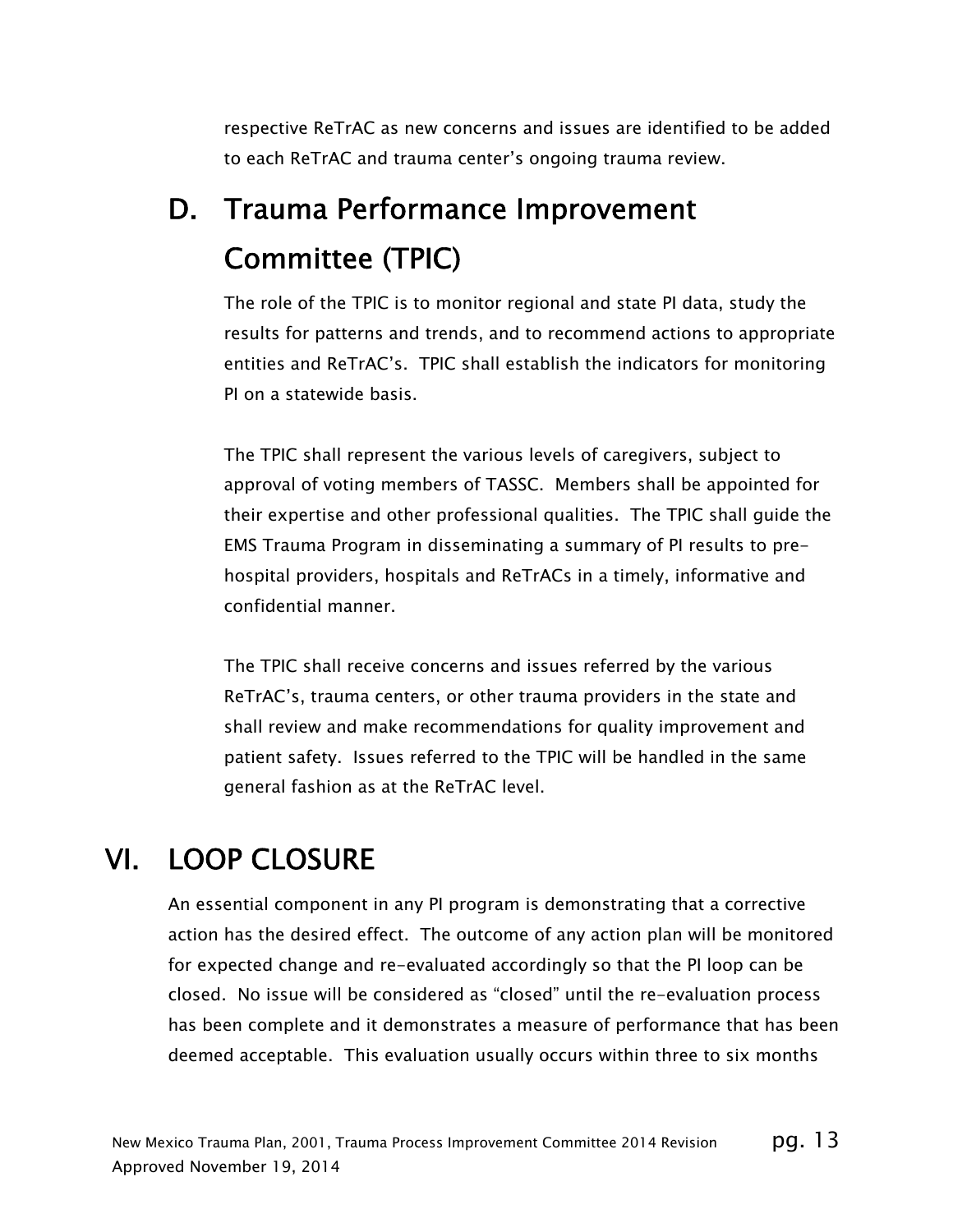respective ReTrAC as new concerns and issues are identified to be added to each ReTrAC and trauma center's ongoing trauma review.

## D. Trauma Performance Improvement Committee (TPIC)

The role of the TPIC is to monitor regional and state PI data, study the results for patterns and trends, and to recommend actions to appropriate entities and ReTrAC's. TPIC shall establish the indicators for monitoring PI on a statewide basis.

The TPIC shall represent the various levels of caregivers, subject to approval of voting members of TASSC. Members shall be appointed for their expertise and other professional qualities. The TPIC shall guide the EMS Trauma Program in disseminating a summary of PI results to prehospital providers, hospitals and ReTrACs in a timely, informative and confidential manner.

The TPIC shall receive concerns and issues referred by the various ReTrAC's, trauma centers, or other trauma providers in the state and shall review and make recommendations for quality improvement and patient safety. Issues referred to the TPIC will be handled in the same general fashion as at the ReTrAC level.

### VI. LOOP CLOSURE

An essential component in any PI program is demonstrating that a corrective action has the desired effect. The outcome of any action plan will be monitored for expected change and re-evaluated accordingly so that the PI loop can be closed. No issue will be considered as "closed" until the re-evaluation process has been complete and it demonstrates a measure of performance that has been deemed acceptable. This evaluation usually occurs within three to six months